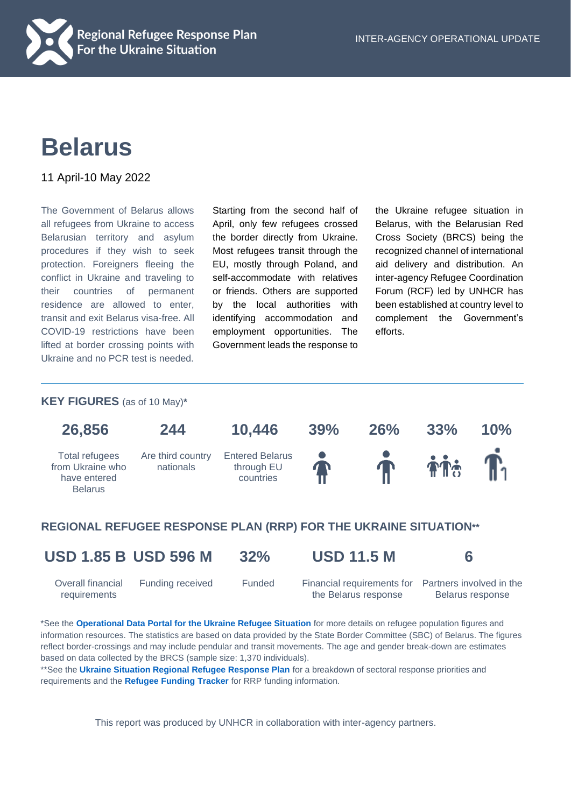

# **Belarus**

11 April-10 May 2022

The Government of Belarus allows all refugees from Ukraine to access Belarusian territory and asylum procedures if they wish to seek protection. Foreigners fleeing the conflict in Ukraine and traveling to their countries of permanent residence are allowed to enter, transit and exit Belarus visa-free. All COVID-19 restrictions have been lifted at border crossing points with Ukraine and no PCR test is needed.

Starting from the second half of April, only few refugees crossed the border directly from Ukraine. Most refugees transit through the EU, mostly through Poland, and self-accommodate with relatives or friends. Others are supported by the local authorities with identifying accommodation and employment opportunities. The Government leads the response to the Ukraine refugee situation in Belarus, with the Belarusian Red Cross Society (BRCS) being the recognized channel of international aid delivery and distribution. An inter-agency Refugee Coordination Forum (RCF) led by UNHCR has been established at country level to complement the Government's efforts.

#### **KEY FIGURES** (as of 10 May)**\***



### **REGIONAL REFUGEE RESPONSE PLAN (RRP) FOR THE UKRAINE SITUATION\*\***

Overall financial requirements

**USD 1.85 B USD 596 M 32% USD 11.5 M 6**

the Belarus response

Funding received Funded Financial requirements for Partners involved in the Belarus response

\*See the **[Operational Data Portal for the Ukraine Refugee Situation](http://data2.unhcr.org/en/situations/ukraine)** for more details on refugee population figures and information resources. The statistics are based on data provided by the State Border Committee (SBC) of Belarus. The figures reflect border-crossings and may include pendular and transit movements. The age and gender break-down are estimates based on data collected by the BRCS (sample size: 1,370 individuals).

\*\*See the **[Ukraine Situation Regional Refugee Response Plan](https://data2.unhcr.org/en/documents/details/92257)** for a breakdown of sectoral response priorities and requirements and the **[Refugee Funding Tracker](https://app.powerbi.com/view?r=eyJrIjoiZWE5MTAyYjYtNDZmYi00NGYzLWFkYjEtMzQ5MTAxZDBiZTU1IiwidCI6ImU1YzM3OTgxLTY2NjQtNDEzNC04YTBjLTY1NDNkMmFmODBiZSIsImMiOjh9)** for RRP funding information.

This report was produced by UNHCR in collaboration with inter-agency partners.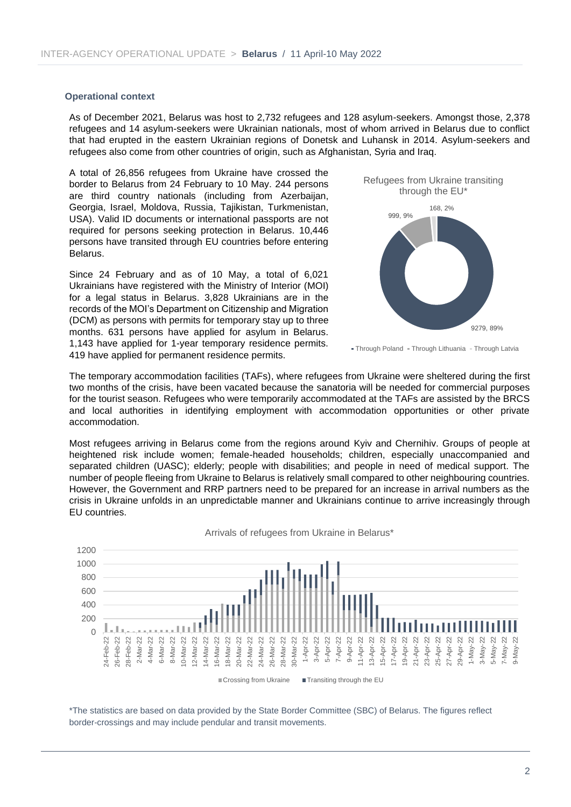#### **Operational context**

As of December 2021, Belarus was host to 2,732 refugees and 128 asylum-seekers. Amongst those, 2,378 refugees and 14 asylum-seekers were Ukrainian nationals, most of whom arrived in Belarus due to conflict that had erupted in the eastern Ukrainian regions of Donetsk and Luhansk in 2014. Asylum-seekers and refugees also come from other countries of origin, such as Afghanistan, Syria and Iraq.

A total of 26,856 refugees from Ukraine have crossed the border to Belarus from 24 February to 10 May. 244 persons are third country nationals (including from Azerbaijan, Georgia, Israel, Moldova, Russia, Tajikistan, Turkmenistan, USA). Valid ID documents or international passports are not required for persons seeking protection in Belarus. 10,446 persons have transited through EU countries before entering Belarus.

Since 24 February and as of 10 May, a total of 6,021 Ukrainians have registered with the Ministry of Interior (MOI) for a legal status in Belarus. 3,828 Ukrainians are in the records of the MOI's Department on Citizenship and Migration (DCM) as persons with permits for temporary stay up to three months. 631 persons have applied for asylum in Belarus. 1,143 have applied for 1-year temporary residence permits. 419 have applied for permanent residence permits.



• Through Poland • Through Lithuania • Through Latvia

The temporary accommodation facilities (TAFs), where refugees from Ukraine were sheltered during the first two months of the crisis, have been vacated because the sanatoria will be needed for commercial purposes for the tourist season. Refugees who were temporarily accommodated at the TAFs are assisted by the BRCS and local authorities in identifying employment with accommodation opportunities or other private accommodation.

Most refugees arriving in Belarus come from the regions around Kyiv and Chernihiv. Groups of people at heightened risk include women; female-headed households; children, especially unaccompanied and separated children (UASC); elderly; people with disabilities; and people in need of medical support. The number of people fleeing from Ukraine to Belarus is relatively small compared to other neighbouring countries. However, the Government and RRP partners need to be prepared for an increase in arrival numbers as the crisis in Ukraine unfolds in an unpredictable manner and Ukrainians continue to arrive increasingly through EU countries.



Arrivals of refugees from Ukraine in Belarus\*

\*The statistics are based on data provided by the State Border Committee (SBC) of Belarus. The figures reflect border-crossings and may include pendular and transit movements.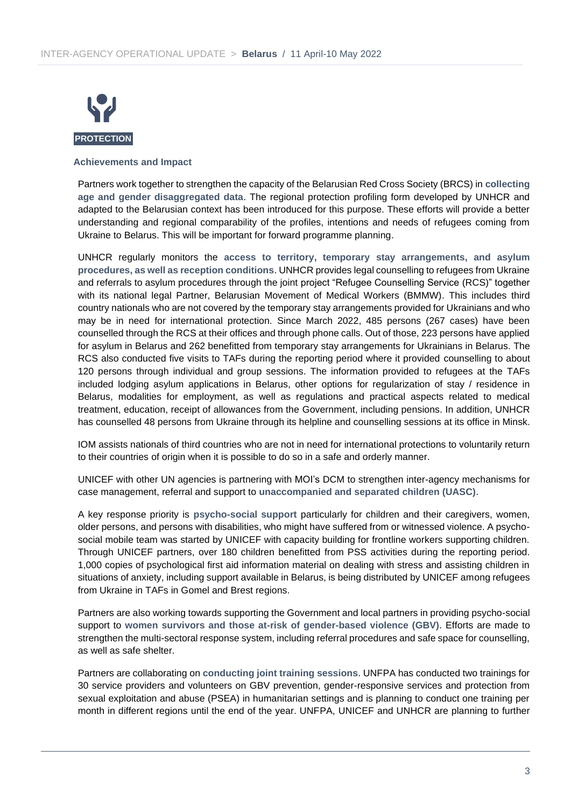

#### **Achievements and Impact**

Partners work together to strengthen the capacity of the Belarusian Red Cross Society (BRCS) in **collecting age and gender disaggregated data**. The regional protection profiling form developed by UNHCR and adapted to the Belarusian context has been introduced for this purpose. These efforts will provide a better understanding and regional comparability of the profiles, intentions and needs of refugees coming from Ukraine to Belarus. This will be important for forward programme planning.

UNHCR regularly monitors the **access to territory, temporary stay arrangements, and asylum procedures, as well as reception conditions**. UNHCR provides legal counselling to refugees from Ukraine and referrals to asylum procedures through the joint project "Refugee Counselling Service (RCS)" together with its national legal Partner, Belarusian Movement of Medical Workers (BMMW). This includes third country nationals who are not covered by the temporary stay arrangements provided for Ukrainians and who may be in need for international protection. Since March 2022, 485 persons (267 cases) have been counselled through the RCS at their offices and through phone calls. Out of those, 223 persons have applied for asylum in Belarus and 262 benefitted from temporary stay arrangements for Ukrainians in Belarus. The RCS also conducted five visits to TAFs during the reporting period where it provided counselling to about 120 persons through individual and group sessions. The information provided to refugees at the TAFs included lodging asylum applications in Belarus, other options for regularization of stay / residence in Belarus, modalities for employment, as well as regulations and practical aspects related to medical treatment, education, receipt of allowances from the Government, including pensions. In addition, UNHCR has counselled 48 persons from Ukraine through its helpline and counselling sessions at its office in Minsk.

IOM assists nationals of third countries who are not in need for international protections to voluntarily return to their countries of origin when it is possible to do so in a safe and orderly manner.

UNICEF with other UN agencies is partnering with MOI's DCM to strengthen inter-agency mechanisms for case management, referral and support to **unaccompanied and separated children (UASC)**.

A key response priority is **psycho-social support** particularly for children and their caregivers, women, older persons, and persons with disabilities, who might have suffered from or witnessed violence. A psychosocial mobile team was started by UNICEF with capacity building for frontline workers supporting children. Through UNICEF partners, over 180 children benefitted from PSS activities during the reporting period. 1,000 copies of psychological first aid information material on dealing with stress and assisting children in situations of anxiety, including support available in Belarus, is being distributed by UNICEF among refugees from Ukraine in TAFs in Gomel and Brest regions.

Partners are also working towards supporting the Government and local partners in providing psycho-social support to **women survivors and those at-risk of gender-based violence (GBV)**. Efforts are made to strengthen the multi-sectoral response system, including referral procedures and safe space for counselling, as well as safe shelter.

Partners are collaborating on **conducting joint training sessions**. UNFPA has conducted two trainings for 30 service providers and volunteers on GBV prevention, gender-responsive services and protection from sexual exploitation and abuse (PSEA) in humanitarian settings and is planning to conduct one training per month in different regions until the end of the year. UNFPA, UNICEF and UNHCR are planning to further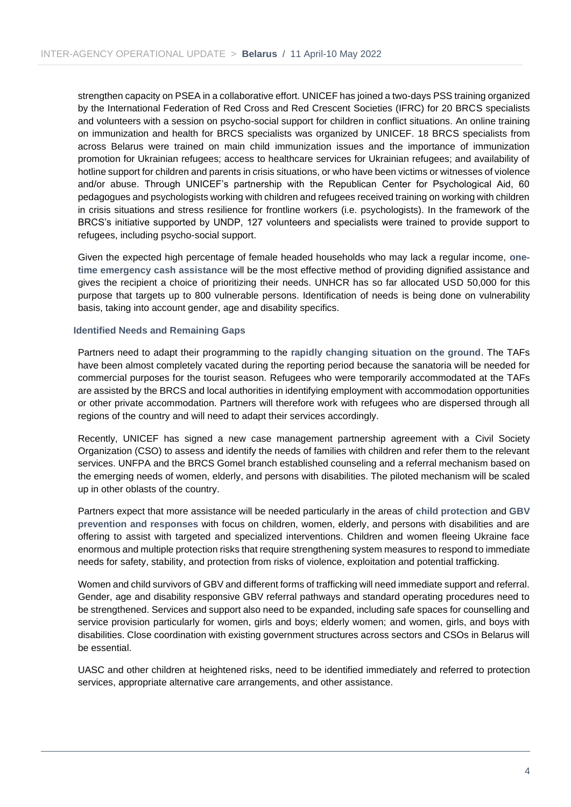strengthen capacity on PSEA in a collaborative effort. UNICEF has joined a two-days PSS training organized by the International Federation of Red Cross and Red Crescent Societies (IFRC) for 20 BRCS specialists and volunteers with a session on psycho-social support for children in conflict situations. An online training on immunization and health for BRCS specialists was organized by UNICEF. 18 BRCS specialists from across Belarus were trained on main child immunization issues and the importance of immunization promotion for Ukrainian refugees; access to healthcare services for Ukrainian refugees; and availability of hotline support for children and parents in crisis situations, or who have been victims or witnesses of violence and/or abuse. Through UNICEF's partnership with the Republican Center for Psychological Aid, 60 pedagogues and psychologists working with children and refugees received training on working with children in crisis situations and stress resilience for frontline workers (i.e. psychologists). In the framework of the BRCS's initiative supported by UNDP, 127 volunteers and specialists were trained to provide support to refugees, including psycho-social support.

Given the expected high percentage of female headed households who may lack a regular income, **onetime emergency cash assistance** will be the most effective method of providing dignified assistance and gives the recipient a choice of prioritizing their needs. UNHCR has so far allocated USD 50,000 for this purpose that targets up to 800 vulnerable persons. Identification of needs is being done on vulnerability basis, taking into account gender, age and disability specifics.

#### **Identified Needs and Remaining Gaps**

Partners need to adapt their programming to the **rapidly changing situation on the ground**. The TAFs have been almost completely vacated during the reporting period because the sanatoria will be needed for commercial purposes for the tourist season. Refugees who were temporarily accommodated at the TAFs are assisted by the BRCS and local authorities in identifying employment with accommodation opportunities or other private accommodation. Partners will therefore work with refugees who are dispersed through all regions of the country and will need to adapt their services accordingly.

Recently, UNICEF has signed a new case management partnership agreement with a Civil Society Organization (CSO) to assess and identify the needs of families with children and refer them to the relevant services. UNFPA and the BRCS Gomel branch established counseling and a referral mechanism based on the emerging needs of women, elderly, and persons with disabilities. The piloted mechanism will be scaled up in other oblasts of the country.

Partners expect that more assistance will be needed particularly in the areas of **child protection** and **GBV prevention and responses** with focus on children, women, elderly, and persons with disabilities and are offering to assist with targeted and specialized interventions. Children and women fleeing Ukraine face enormous and multiple protection risks that require strengthening system measures to respond to immediate needs for safety, stability, and protection from risks of violence, exploitation and potential trafficking.

Women and child survivors of GBV and different forms of trafficking will need immediate support and referral. Gender, age and disability responsive GBV referral pathways and standard operating procedures need to be strengthened. Services and support also need to be expanded, including safe spaces for counselling and service provision particularly for women, girls and boys; elderly women; and women, girls, and boys with disabilities. Close coordination with existing government structures across sectors and CSOs in Belarus will be essential.

UASC and other children at heightened risks, need to be identified immediately and referred to protection services, appropriate alternative care arrangements, and other assistance.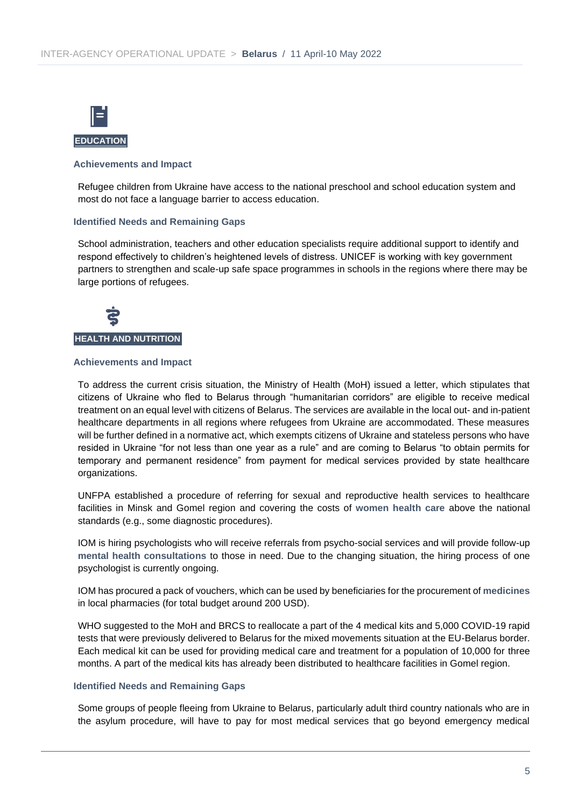

#### **Achievements and Impact**

Refugee children from Ukraine have access to the national preschool and school education system and most do not face a language barrier to access education.

#### **Identified Needs and Remaining Gaps**

School administration, teachers and other education specialists require additional support to identify and respond effectively to children's heightened levels of distress. UNICEF is working with key government partners to strengthen and scale-up safe space programmes in schools in the regions where there may be large portions of refugees.



#### **Achievements and Impact**

To address the current crisis situation, the Ministry of Health (MoH) issued a letter, which stipulates that citizens of Ukraine who fled to Belarus through "humanitarian corridors" are eligible to receive medical treatment on an equal level with citizens of Belarus. The services are available in the local out- and in-patient healthcare departments in all regions where refugees from Ukraine are accommodated. These measures will be further defined in a normative act, which exempts citizens of Ukraine and stateless persons who have resided in Ukraine "for not less than one year as a rule" and are coming to Belarus "to obtain permits for temporary and permanent residence" from payment for medical services provided by state healthcare organizations.

UNFPA established a procedure of referring for sexual and reproductive health services to healthcare facilities in Minsk and Gomel region and covering the costs of **women health care** above the national standards (e.g., some diagnostic procedures).

IOM is hiring psychologists who will receive referrals from psycho-social services and will provide follow-up **mental health consultations** to those in need. Due to the changing situation, the hiring process of one psychologist is currently ongoing.

IOM has procured a pack of vouchers, which can be used by beneficiaries for the procurement of **medicines** in local pharmacies (for total budget around 200 USD).

WHO suggested to the MoH and BRCS to reallocate a part of the 4 medical kits and 5,000 COVID-19 rapid tests that were previously delivered to Belarus for the mixed movements situation at the EU-Belarus border. Each medical kit can be used for providing medical care and treatment for a population of 10,000 for three months. A part of the medical kits has already been distributed to healthcare facilities in Gomel region.

#### **Identified Needs and Remaining Gaps**

Some groups of people fleeing from Ukraine to Belarus, particularly adult third country nationals who are in the asylum procedure, will have to pay for most medical services that go beyond emergency medical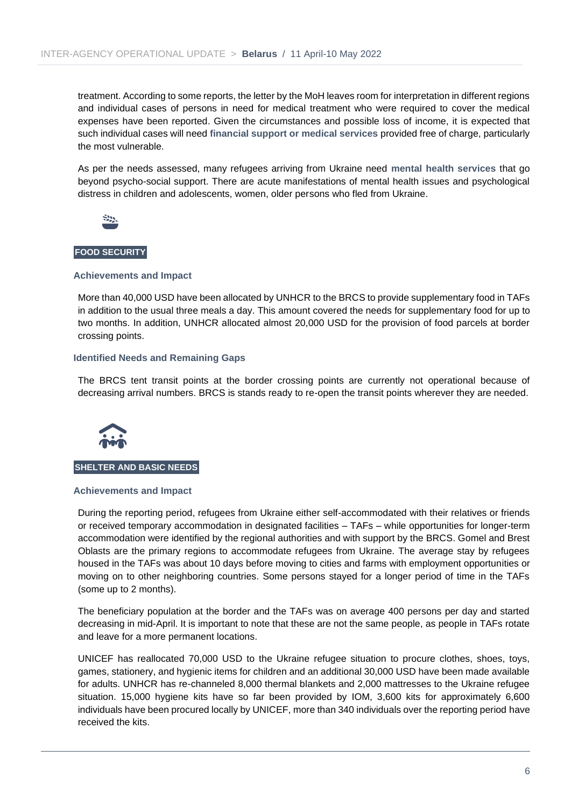treatment. According to some reports, the letter by the MoH leaves room for interpretation in different regions and individual cases of persons in need for medical treatment who were required to cover the medical expenses have been reported. Given the circumstances and possible loss of income, it is expected that such individual cases will need **financial support or medical services** provided free of charge, particularly the most vulnerable.

As per the needs assessed, many refugees arriving from Ukraine need **mental health services** that go beyond psycho-social support. There are acute manifestations of mental health issues and psychological distress in children and adolescents, women, older persons who fled from Ukraine.



#### **FOOD SECURITY**

#### **Achievements and Impact**

More than 40,000 USD have been allocated by UNHCR to the BRCS to provide supplementary food in TAFs in addition to the usual three meals a day. This amount covered the needs for supplementary food for up to two months. In addition, UNHCR allocated almost 20,000 USD for the provision of food parcels at border crossing points.

#### **Identified Needs and Remaining Gaps**

The BRCS tent transit points at the border crossing points are currently not operational because of decreasing arrival numbers. BRCS is stands ready to re-open the transit points wherever they are needed.



#### **SHELTER AND BASIC NEEDS**

#### **Achievements and Impact**

During the reporting period, refugees from Ukraine either self-accommodated with their relatives or friends or received temporary accommodation in designated facilities – TAFs – while opportunities for longer-term accommodation were identified by the regional authorities and with support by the BRCS. Gomel and Brest Oblasts are the primary regions to accommodate refugees from Ukraine. The average stay by refugees housed in the TAFs was about 10 days before moving to cities and farms with employment opportunities or moving on to other neighboring countries. Some persons stayed for a longer period of time in the TAFs (some up to 2 months).

The beneficiary population at the border and the TAFs was on average 400 persons per day and started decreasing in mid-April. It is important to note that these are not the same people, as people in TAFs rotate and leave for a more permanent locations.

UNICEF has reallocated 70,000 USD to the Ukraine refugee situation to procure clothes, shoes, toys, games, stationery, and hygienic items for children and an additional 30,000 USD have been made available for adults. UNHCR has re-channeled 8,000 thermal blankets and 2,000 mattresses to the Ukraine refugee situation. 15,000 hygiene kits have so far been provided by IOM, 3,600 kits for approximately 6,600 individuals have been procured locally by UNICEF, more than 340 individuals over the reporting period have received the kits.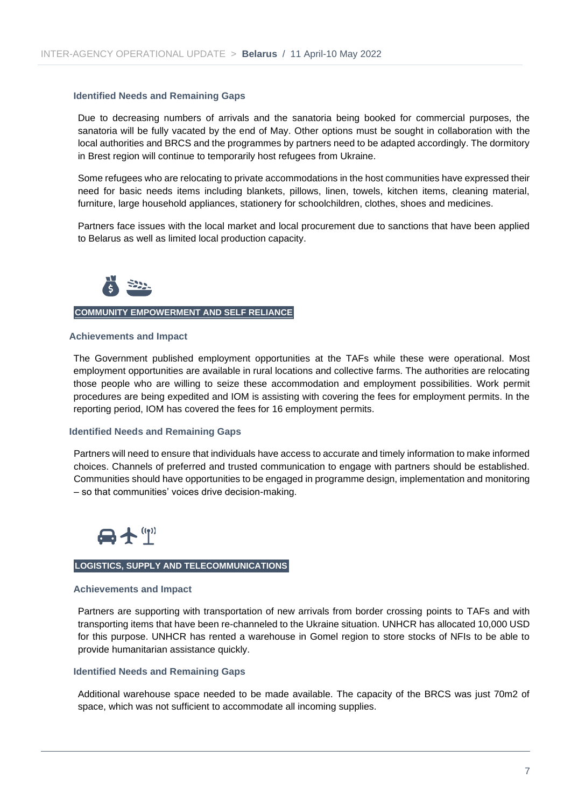#### **Identified Needs and Remaining Gaps**

Due to decreasing numbers of arrivals and the sanatoria being booked for commercial purposes, the sanatoria will be fully vacated by the end of May. Other options must be sought in collaboration with the local authorities and BRCS and the programmes by partners need to be adapted accordingly. The dormitory in Brest region will continue to temporarily host refugees from Ukraine.

Some refugees who are relocating to private accommodations in the host communities have expressed their need for basic needs items including blankets, pillows, linen, towels, kitchen items, cleaning material, furniture, large household appliances, stationery for schoolchildren, clothes, shoes and medicines.

Partners face issues with the local market and local procurement due to sanctions that have been applied to Belarus as well as limited local production capacity.



#### **COMMUNITY EMPOWERMENT AND SELF RELIANCE**

#### **Achievements and Impact**

The Government published employment opportunities at the TAFs while these were operational. Most employment opportunities are available in rural locations and collective farms. The authorities are relocating those people who are willing to seize these accommodation and employment possibilities. Work permit procedures are being expedited and IOM is assisting with covering the fees for employment permits. In the reporting period, IOM has covered the fees for 16 employment permits.

#### **Identified Needs and Remaining Gaps**

Partners will need to ensure that individuals have access to accurate and timely information to make informed choices. Channels of preferred and trusted communication to engage with partners should be established. Communities should have opportunities to be engaged in programme design, implementation and monitoring – so that communities' voices drive decision-making.



#### **LOGISTICS, SUPPLY AND TELECOMMUNICATIONS**

#### **Achievements and Impact**

Partners are supporting with transportation of new arrivals from border crossing points to TAFs and with transporting items that have been re-channeled to the Ukraine situation. UNHCR has allocated 10,000 USD for this purpose. UNHCR has rented a warehouse in Gomel region to store stocks of NFIs to be able to provide humanitarian assistance quickly.

#### **Identified Needs and Remaining Gaps**

Additional warehouse space needed to be made available. The capacity of the BRCS was just 70m2 of space, which was not sufficient to accommodate all incoming supplies.